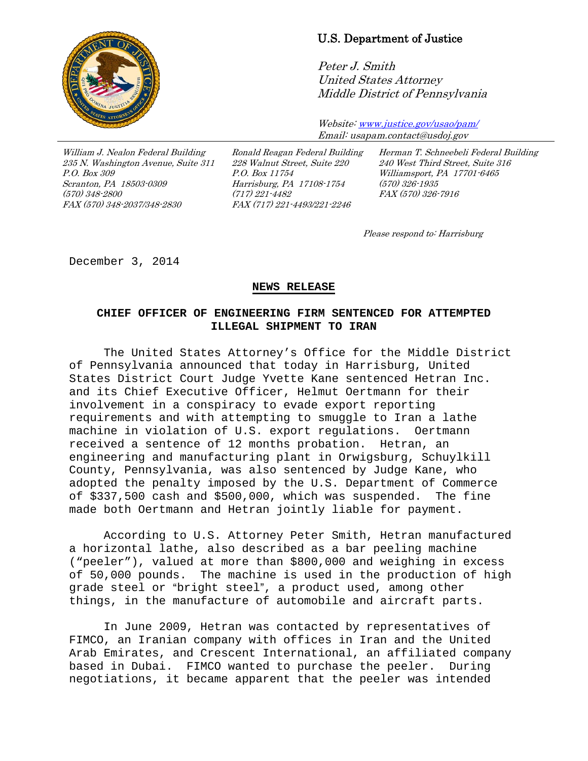

## U.S. Department of Justice

Peter J. Smith United States Attorney Middle District of Pennsylvania

Website[: www.justice.gov/usao/pam/](http://www.justice.gov/usao/pam/) Email: usapam.contact@usdoj.gov

William J. Nealon Federal Building 235 N. Washington Avenue, Suite 311 P.O. Box 309 Scranton, PA 18503-0309 (570) 348-2800 FAX (570) 348-2037/348-2830

Ronald Reagan Federal Building 228 Walnut Street, Suite 220 P.O. Box 11754 Harrisburg, PA 17108-1754 (717) 221-4482 FAX (717) 221-4493/221-2246

Herman T. Schneebeli Federal Building 240 West Third Street, Suite 316 Williamsport, PA 17701-6465 (570) 326-1935 FAX (570) 326-7916

Please respond to: Harrisburg

December 3, 2014

## **NEWS RELEASE**

## **CHIEF OFFICER OF ENGINEERING FIRM SENTENCED FOR ATTEMPTED ILLEGAL SHIPMENT TO IRAN**

The United States Attorney's Office for the Middle District of Pennsylvania announced that today in Harrisburg, United States District Court Judge Yvette Kane sentenced Hetran Inc. and its Chief Executive Officer, Helmut Oertmann for their involvement in a conspiracy to evade export reporting requirements and with attempting to smuggle to Iran a lathe machine in violation of U.S. export regulations. Oertmann received a sentence of 12 months probation. Hetran, an engineering and manufacturing plant in Orwigsburg, Schuylkill County, Pennsylvania, was also sentenced by Judge Kane, who adopted the penalty imposed by the U.S. Department of Commerce of \$337,500 cash and \$500,000, which was suspended. The fine made both Oertmann and Hetran jointly liable for payment.

According to U.S. Attorney Peter Smith, Hetran manufactured a horizontal lathe, also described as a bar peeling machine ("peeler"), valued at more than \$800,000 and weighing in excess of 50,000 pounds. The machine is used in the production of high grade steel or "bright steel", a product used, among other things, in the manufacture of automobile and aircraft parts.

In June 2009, Hetran was contacted by representatives of FIMCO, an Iranian company with offices in Iran and the United Arab Emirates, and Crescent International, an affiliated company based in Dubai. FIMCO wanted to purchase the peeler. During negotiations, it became apparent that the peeler was intended